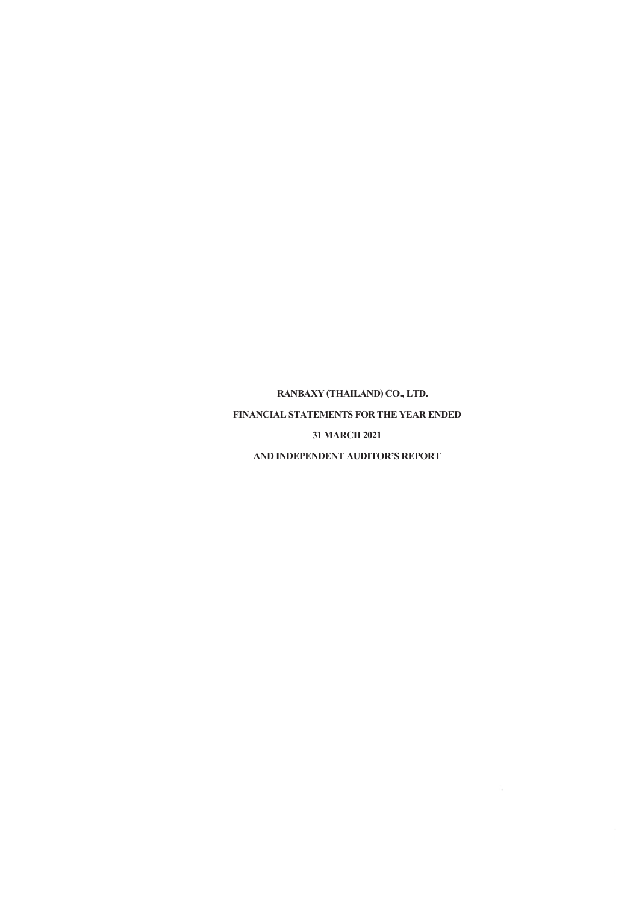**RANBAXY (THAILAND) CO., LTD. FINANCIAL STATEMENTS FOR THE YEAR ENDED 31 MARCH 2021 AND INDEPENDENT AUDITOR'S REPORT**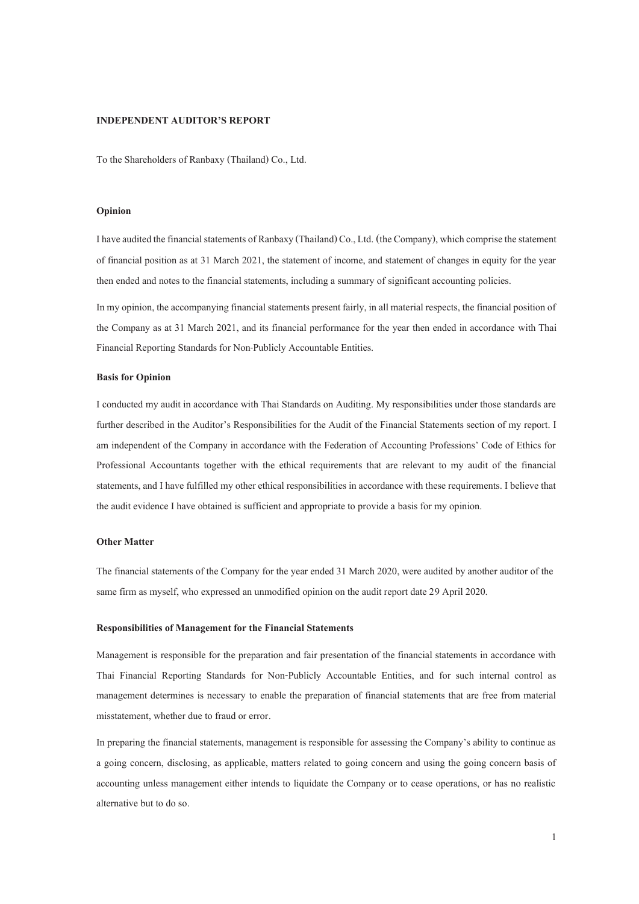#### **INDEPENDENT AUDITOR'S REPORT**

To the Shareholders of Ranbaxy (Thailand) Co., Ltd.

#### **Opinion**

I have audited the financial statements of Ranbaxy (Thailand) Co., Ltd. (the Company), which comprise the statement of financial position as at 31 March 2021, the statement of income, and statement of changes in equity for the year then ended and notes to the financial statements, including a summary of significant accounting policies.

In my opinion, the accompanying financial statements present fairly, in all material respects, the financial position of the Company as at 31 March 2021, and its financial performance for the year then ended in accordance with Thai Financial Reporting Standards for Non-Publicly Accountable Entities.

#### **Basis for Opinion**

I conducted my audit in accordance with Thai Standards on Auditing. My responsibilities under those standards are further described in the Auditor's Responsibilities for the Audit of the Financial Statements section of my report. I am independent of the Company in accordance with the Federation of Accounting Professions' Code of Ethics for Professional Accountants together with the ethical requirements that are relevant to my audit of the financial statements, and I have fulfilled my other ethical responsibilities in accordance with these requirements. I believe that the audit evidence I have obtained is sufficient and appropriate to provide a basis for my opinion.

#### **Other Matter**

The financial statements of the Company for the year ended 31 March 2020, were audited by another auditor of the same firm as myself, who expressed an unmodified opinion on the audit report date 29 April 2020.

#### **Responsibilities of Management for the Financial Statements**

Management is responsible for the preparation and fair presentation of the financial statements in accordance with Thai Financial Reporting Standards for Non-Publicly Accountable Entities, and for such internal control as management determines is necessary to enable the preparation of financial statements that are free from material misstatement, whether due to fraud or error.

In preparing the financial statements, management is responsible for assessing the Company's ability to continue as a going concern, disclosing, as applicable, matters related to going concern and using the going concern basis of accounting unless management either intends to liquidate the Company or to cease operations, or has no realistic alternative but to do so.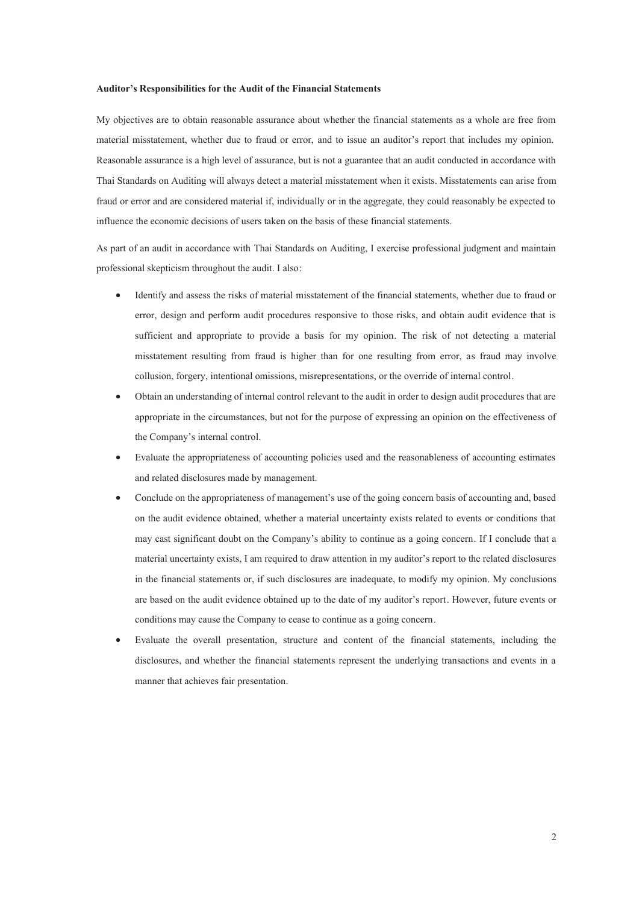#### **Auditor's Responsibilities for the Audit of the Financial Statements**

My objectives are to obtain reasonable assurance about whether the financial statements as a whole are free from material misstatement, whether due to fraud or error, and to issue an auditor's report that includes my opinion. Reasonable assurance is a high level of assurance, but is not a guarantee that an audit conducted in accordance with Thai Standards on Auditing will always detect a material misstatement when it exists. Misstatements can arise from fraud or error and are considered material if, individually or in the aggregate, they could reasonably be expected to influence the economic decisions of users taken on the basis of these financial statements.

As part of an audit in accordance with Thai Standards on Auditing, I exercise professional judgment and maintain professional skepticism throughout the audit. I also :

- Identify and assess the risks of material misstatement of the financial statements, whether due to fraud or error, design and perform audit procedures responsive to those risks, and obtain audit evidence that is sufficient and appropriate to provide a basis for my opinion. The risk of not detecting a material misstatement resulting from fraud is higher than for one resulting from error, as fraud may involve collusion, forgery, intentional omissions, misrepresentations, or the override of internal control.
- Obtain an understanding of internal control relevant to the audit in order to design audit procedures that are appropriate in the circumstances, but not for the purpose of expressing an opinion on the effectiveness of the Company's internal control.
- x Evaluate the appropriateness of accounting policies used and the reasonableness of accounting estimates and related disclosures made by management.
- Conclude on the appropriateness of management's use of the going concern basis of accounting and, based on the audit evidence obtained, whether a material uncertainty exists related to events or conditions that may cast significant doubt on the Company's ability to continue as a going concern. If I conclude that a material uncertainty exists, I am required to draw attention in my auditor's report to the related disclosures in the financial statements or, if such disclosures are inadequate, to modify my opinion. My conclusions are based on the audit evidence obtained up to the date of my auditor's report. However, future events or conditions may cause the Company to cease to continue as a going concern.
- x Evaluate the overall presentation, structure and content of the financial statements, including the disclosures, and whether the financial statements represent the underlying transactions and events in a manner that achieves fair presentation.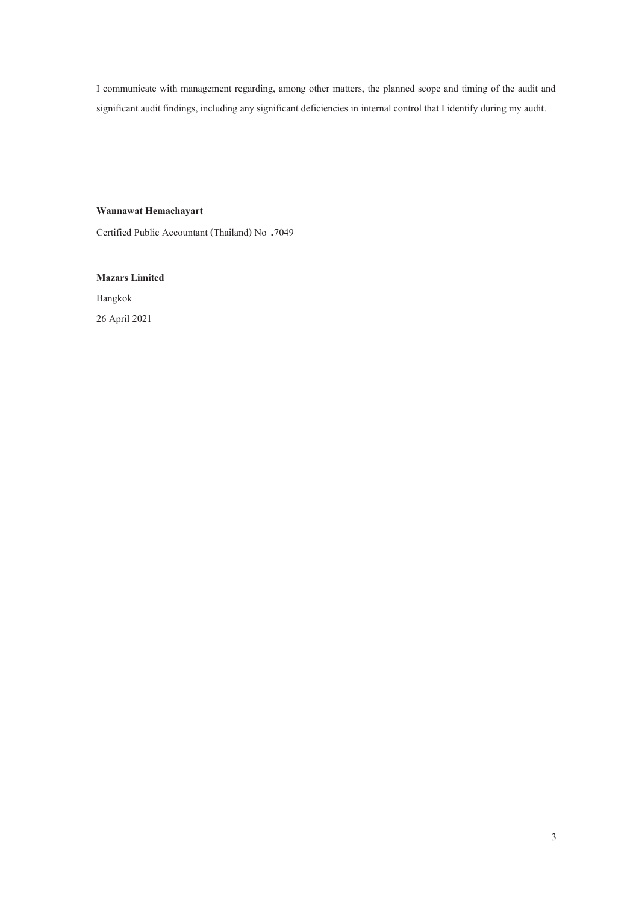I communicate with management regarding, among other matters, the planned scope and timing of the audit and significant audit findings, including any significant deficiencies in internal control that I identify during my audit.

## **Wannawat Hemachayart**

Certified Public Accountant (Thailand) No .7049

**Mazars Limited** 

Bangkok 26 April 2021

3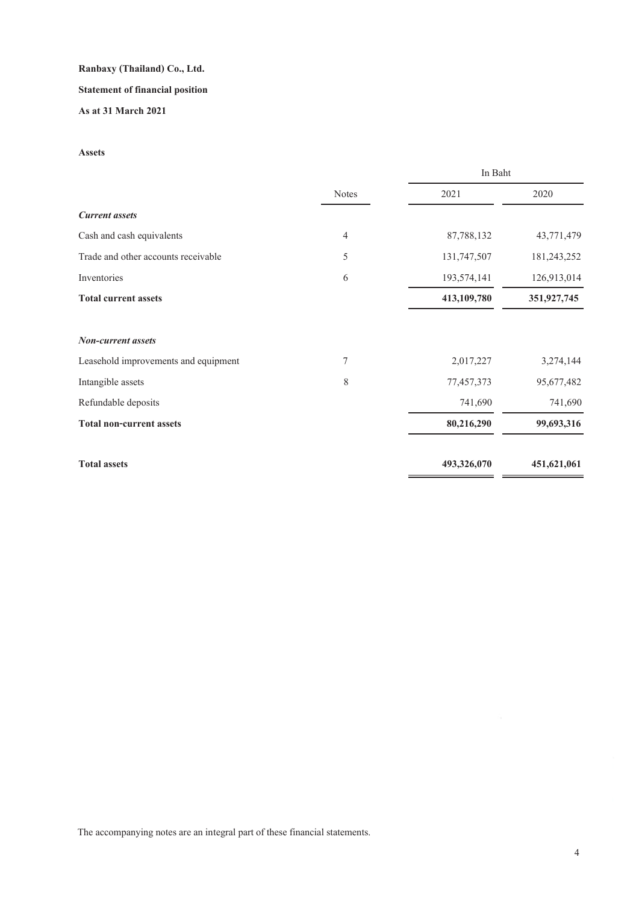# **Statement of financial position**

# **As at 31 March 2021**

## **Assets**

|                                      |              | In Baht     |             |
|--------------------------------------|--------------|-------------|-------------|
|                                      | <b>Notes</b> | 2021        | 2020        |
| <b>Current</b> assets                |              |             |             |
| Cash and cash equivalents            | 4            | 87,788,132  | 43,771,479  |
| Trade and other accounts receivable  | 5            | 131,747,507 | 181,243,252 |
| Inventories                          | 6            | 193,574,141 | 126,913,014 |
| <b>Total current assets</b>          |              | 413,109,780 | 351,927,745 |
| Non-current assets                   |              |             |             |
| Leasehold improvements and equipment | 7            | 2,017,227   | 3,274,144   |
| Intangible assets                    | 8            | 77,457,373  | 95,677,482  |
| Refundable deposits                  |              | 741,690     | 741,690     |
| <b>Total non-current assets</b>      |              | 80,216,290  | 99,693,316  |
| <b>Total assets</b>                  |              | 493,326,070 | 451,621,061 |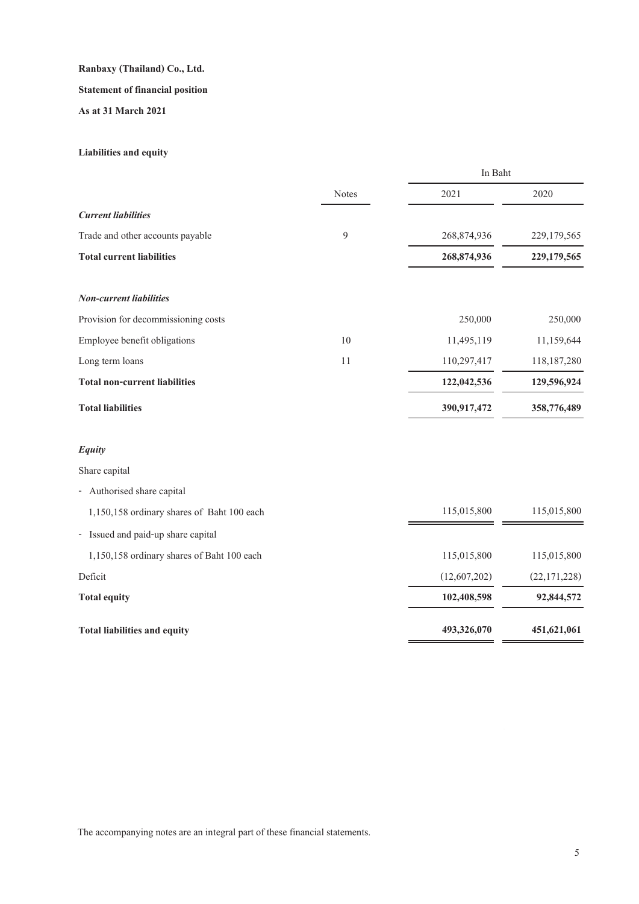# **Statement of financial position**

**As at 31 March 2021**

# **Liabilities and equity**

|                                            |              | In Baht      |              |
|--------------------------------------------|--------------|--------------|--------------|
|                                            | <b>Notes</b> | 2021         | 2020         |
| <b>Current liabilities</b>                 |              |              |              |
| Trade and other accounts payable           | 9            | 268,874,936  | 229,179,565  |
| <b>Total current liabilities</b>           |              | 268,874,936  | 229,179,565  |
| <b>Non-current liabilities</b>             |              |              |              |
| Provision for decommissioning costs        |              | 250,000      | 250,000      |
| Employee benefit obligations               | 10           | 11,495,119   | 11,159,644   |
| Long term loans                            | 11           | 110,297,417  | 118,187,280  |
| <b>Total non-current liabilities</b>       |              | 122,042,536  | 129,596,924  |
| <b>Total liabilities</b>                   |              | 390,917,472  | 358,776,489  |
| <b>Equity</b>                              |              |              |              |
| Share capital                              |              |              |              |
| - Authorised share capital                 |              |              |              |
| 1,150,158 ordinary shares of Baht 100 each |              | 115,015,800  | 115,015,800  |
| - Issued and paid-up share capital         |              |              |              |
| 1,150,158 ordinary shares of Baht 100 each |              | 115,015,800  | 115,015,800  |
| Deficit                                    |              | (12,607,202) | (22,171,228) |
| <b>Total equity</b>                        |              | 102,408,598  | 92,844,572   |
| <b>Total liabilities and equity</b>        |              | 493,326,070  | 451,621,061  |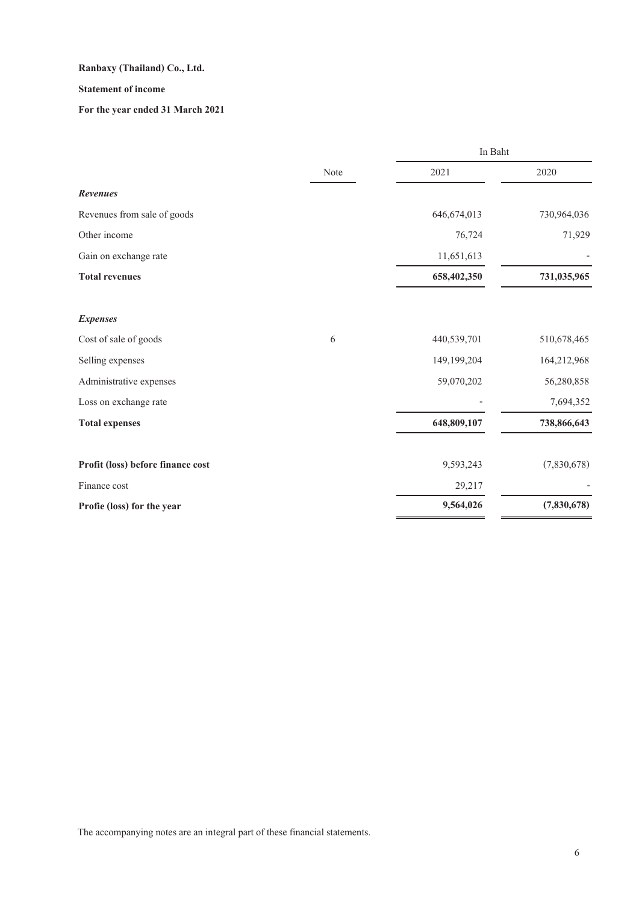# **Statement of income**

# **For the year ended 31 March 2021**

|                                   |      | In Baht       |             |
|-----------------------------------|------|---------------|-------------|
|                                   | Note | 2021          | 2020        |
| Revenues                          |      |               |             |
| Revenues from sale of goods       |      | 646, 674, 013 | 730,964,036 |
| Other income                      |      | 76,724        | 71,929      |
| Gain on exchange rate             |      | 11,651,613    |             |
| <b>Total revenues</b>             |      | 658,402,350   | 731,035,965 |
| <b>Expenses</b>                   |      |               |             |
| Cost of sale of goods             | 6    | 440,539,701   | 510,678,465 |
| Selling expenses                  |      | 149,199,204   | 164,212,968 |
| Administrative expenses           |      | 59,070,202    | 56,280,858  |
| Loss on exchange rate             |      |               | 7,694,352   |
| <b>Total expenses</b>             |      | 648,809,107   | 738,866,643 |
| Profit (loss) before finance cost |      | 9,593,243     | (7,830,678) |
| Finance cost                      |      | 29,217        |             |
| Profie (loss) for the year        |      | 9,564,026     | (7,830,678) |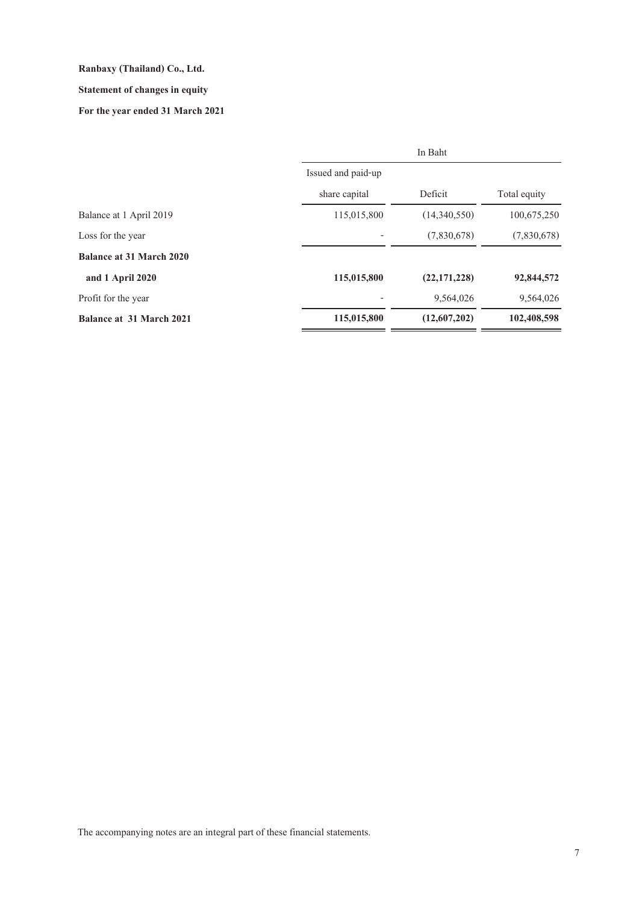# **Statement of changes in equity**

# **For the year ended 31 March 2021**

|                                 |                    | In Baht      |              |
|---------------------------------|--------------------|--------------|--------------|
|                                 | Issued and paid-up |              |              |
|                                 | share capital      | Deficit      | Total equity |
| Balance at 1 April 2019         | 115,015,800        | (14,340,550) | 100,675,250  |
| Loss for the year               |                    | (7,830,678)  | (7,830,678)  |
| <b>Balance at 31 March 2020</b> |                    |              |              |
| and 1 April 2020                | 115,015,800        | (22,171,228) | 92,844,572   |
| Profit for the year             |                    | 9,564,026    | 9,564,026    |
| Balance at 31 March 2021        | 115,015,800        | (12,607,202) | 102,408,598  |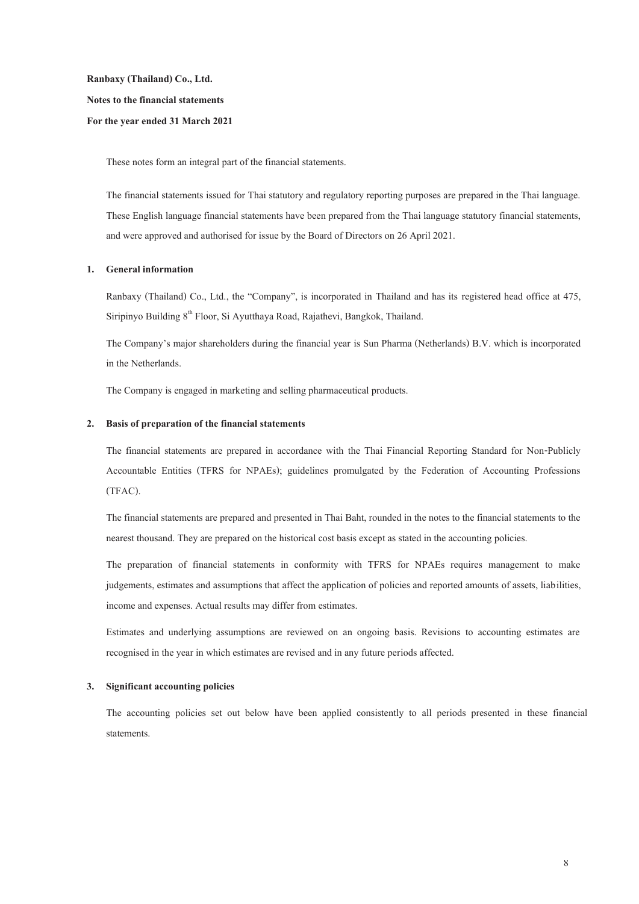**Ranbaxy (Thailand) Co., Ltd. Notes to the financial statements For the year ended 31 March 2021** 

These notes form an integral part of the financial statements.

The financial statements issued for Thai statutory and regulatory reporting purposes are prepared in the Thai language. These English language financial statements have been prepared from the Thai language statutory financial statements, and were approved and authorised for issue by the Board of Directors on 26 April 2021.

#### **1. General information**

Ranbaxy (Thailand) Co., Ltd., the "Company", is incorporated in Thailand and has its registered head office at 475, Siripinyo Building  $8<sup>th</sup>$  Floor, Si Ayutthaya Road, Rajathevi, Bangkok, Thailand.

The Company's major shareholders during the financial year is Sun Pharma (Netherlands) B.V. which is incorporated in the Netherlands.

The Company is engaged in marketing and selling pharmaceutical products.

#### **2. Basis of preparation of the financial statements**

The financial statements are prepared in accordance with the Thai Financial Reporting Standard for Non-Publicly Accountable Entities (TFRS for NPAEs); guidelines promulgated by the Federation of Accounting Professions (TFAC).

The financial statements are prepared and presented in Thai Baht, rounded in the notes to the financial statements to the nearest thousand. They are prepared on the historical cost basis except as stated in the accounting policies.

The preparation of financial statements in conformity with TFRS for NPAEs requires management to make judgements, estimates and assumptions that affect the application of policies and reported amounts of assets, liabilities, income and expenses. Actual results may differ from estimates.

Estimates and underlying assumptions are reviewed on an ongoing basis. Revisions to accounting estimates are recognised in the year in which estimates are revised and in any future periods affected.

#### **3. Significant accounting policies**

The accounting policies set out below have been applied consistently to all periods presented in these financial statements.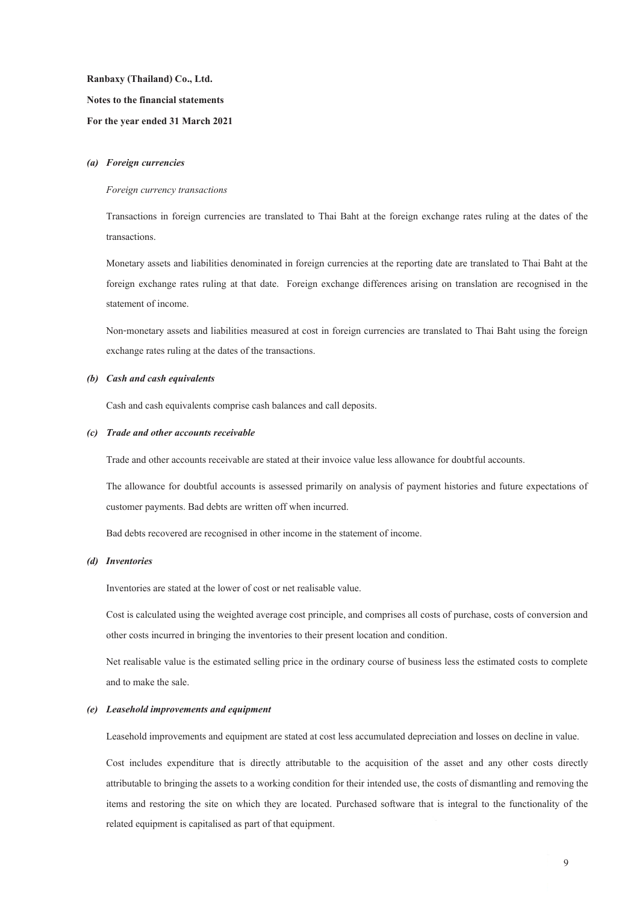**Ranbaxy (Thailand) Co., Ltd. Notes to the financial statements For the year ended 31 March 2021** 

#### *(a) Foreign currencies*

#### *Foreign currency transactions*

Transactions in foreign currencies are translated to Thai Baht at the foreign exchange rates ruling at the dates of the transactions.

Monetary assets and liabilities denominated in foreign currencies at the reporting date are translated to Thai Baht at the foreign exchange rates ruling at that date. Foreign exchange differences arising on translation are recognised in the statement of income.

Non-monetary assets and liabilities measured at cost in foreign currencies are translated to Thai Baht using the foreign exchange rates ruling at the dates of the transactions.

#### *(b) Cash and cash equivalents*

Cash and cash equivalents comprise cash balances and call deposits.

#### *(c) Trade and other accounts receivable*

Trade and other accounts receivable are stated at their invoice value less allowance for doubtful accounts.

The allowance for doubtful accounts is assessed primarily on analysis of payment histories and future expectations of customer payments. Bad debts are written off when incurred.

Bad debts recovered are recognised in other income in the statement of income.

#### *(d) Inventories*

Inventories are stated at the lower of cost or net realisable value.

Cost is calculated using the weighted average cost principle, and comprises all costs of purchase, costs of conversion and other costs incurred in bringing the inventories to their present location and condition.

Net realisable value is the estimated selling price in the ordinary course of business less the estimated costs to complete and to make the sale.

#### *(e) Leasehold improvements and equipment*

Leasehold improvements and equipment are stated at cost less accumulated depreciation and losses on decline in value.

Cost includes expenditure that is directly attributable to the acquisition of the asset and any other costs directly attributable to bringing the assets to a working condition for their intended use, the costs of dismantling and removing the items and restoring the site on which they are located. Purchased software that is integral to the functionality of the related equipment is capitalised as part of that equipment.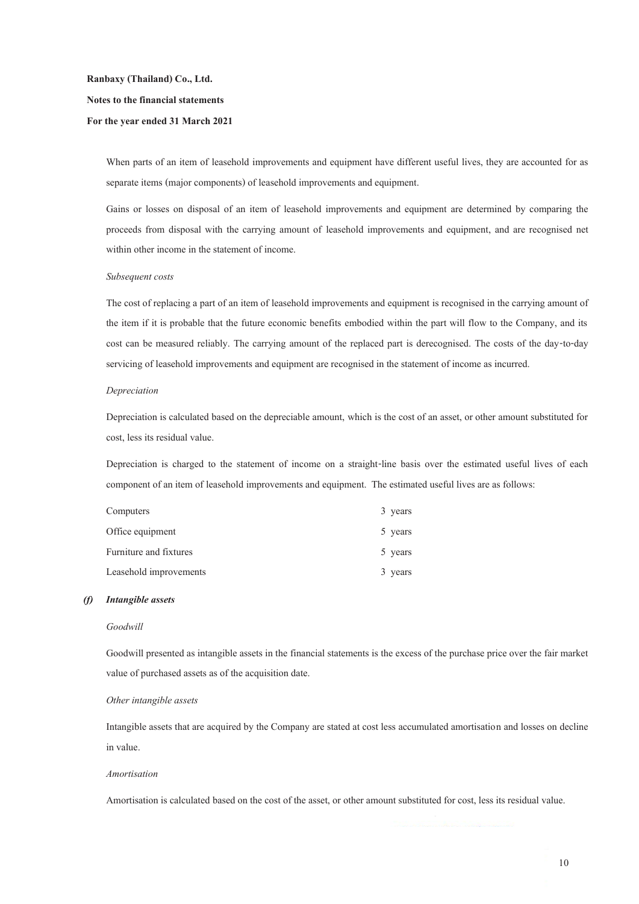# **Ranbaxy (Thailand) Co., Ltd. Notes to the financial statements For the year ended 31 March 2021**

When parts of an item of leasehold improvements and equipment have different useful lives, they are accounted for as separate items (major components) of leasehold improvements and equipment.

Gains or losses on disposal of an item of leasehold improvements and equipment are determined by comparing the proceeds from disposal with the carrying amount of leasehold improvements and equipment, and are recognised net within other income in the statement of income.

#### *Subsequent costs*

The cost of replacing a part of an item of leasehold improvements and equipment is recognised in the carrying amount of the item if it is probable that the future economic benefits embodied within the part will flow to the Company, and its cost can be measured reliably. The carrying amount of the replaced part is derecognised. The costs of the day-to-day servicing of leasehold improvements and equipment are recognised in the statement of income as incurred.

#### *Depreciation*

Depreciation is calculated based on the depreciable amount, which is the cost of an asset, or other amount substituted for cost, less its residual value.

Depreciation is charged to the statement of income on a straight-line basis over the estimated useful lives of each component of an item of leasehold improvements and equipment. The estimated useful lives are as follows:

| Computers              | 3 years |
|------------------------|---------|
| Office equipment       | 5 years |
| Furniture and fixtures | 5 years |
| Leasehold improvements | 3 years |

#### *(f) Intangible assets*

#### *Goodwill*

Goodwill presented as intangible assets in the financial statements is the excess of the purchase price over the fair market value of purchased assets as of the acquisition date.

#### *Other intangible assets*

Intangible assets that are acquired by the Company are stated at cost less accumulated amortisation and losses on decline in value.

#### *Amortisation*

Amortisation is calculated based on the cost of the asset, or other amount substituted for cost, less its residual value.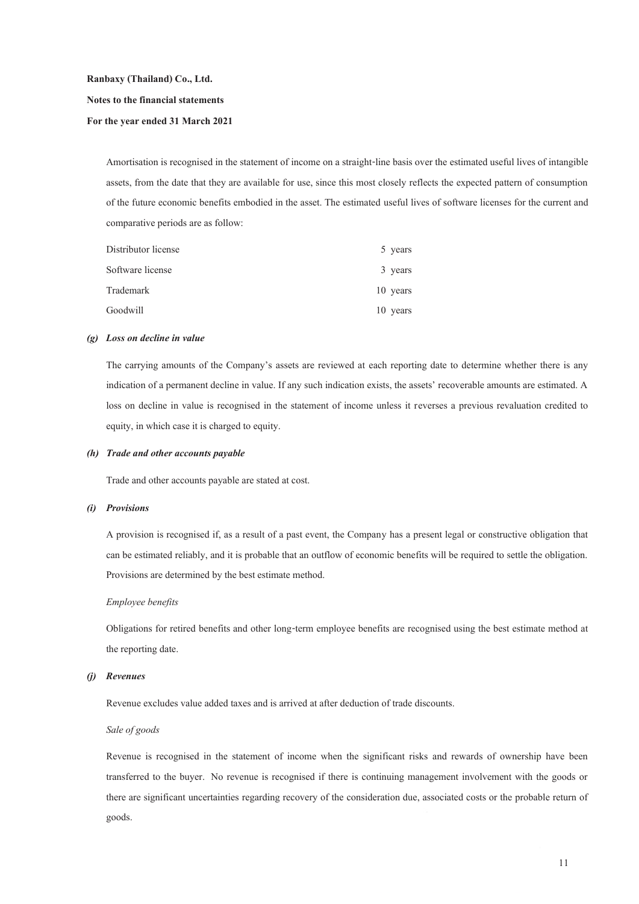**Ranbaxy (Thailand) Co., Ltd. Notes to the financial statements** 

#### **For the year ended 31 March 2021**

Amortisation is recognised in the statement of income on a straight-line basis over the estimated useful lives of intangible assets, from the date that they are available for use, since this most closely reflects the expected pattern of consumption of the future economic benefits embodied in the asset. The estimated useful lives of software licenses for the current and comparative periods are as follow:

| Distributor license | 5 years  |
|---------------------|----------|
| Software license    | 3 years  |
| Trademark           | 10 years |
| Goodwill            | 10 years |

#### *(g) Loss on decline in value*

The carrying amounts of the Company's assets are reviewed at each reporting date to determine whether there is any indication of a permanent decline in value. If any such indication exists, the assets' recoverable amounts are estimated. A loss on decline in value is recognised in the statement of income unless it reverses a previous revaluation credited to equity, in which case it is charged to equity.

#### *(h) Trade and other accounts payable*

Trade and other accounts payable are stated at cost.

#### *(i) Provisions*

A provision is recognised if, as a result of a past event, the Company has a present legal or constructive obligation that can be estimated reliably, and it is probable that an outflow of economic benefits will be required to settle the obligation. Provisions are determined by the best estimate method.

#### *Employee benefits*

Obligations for retired benefits and other long-term employee benefits are recognised using the best estimate method at the reporting date.

#### *(j) Revenues*

Revenue excludes value added taxes and is arrived at after deduction of trade discounts.

#### *Sale of goods*

Revenue is recognised in the statement of income when the significant risks and rewards of ownership have been transferred to the buyer. No revenue is recognised if there is continuing management involvement with the goods or there are significant uncertainties regarding recovery of the consideration due, associated costs or the probable return of goods.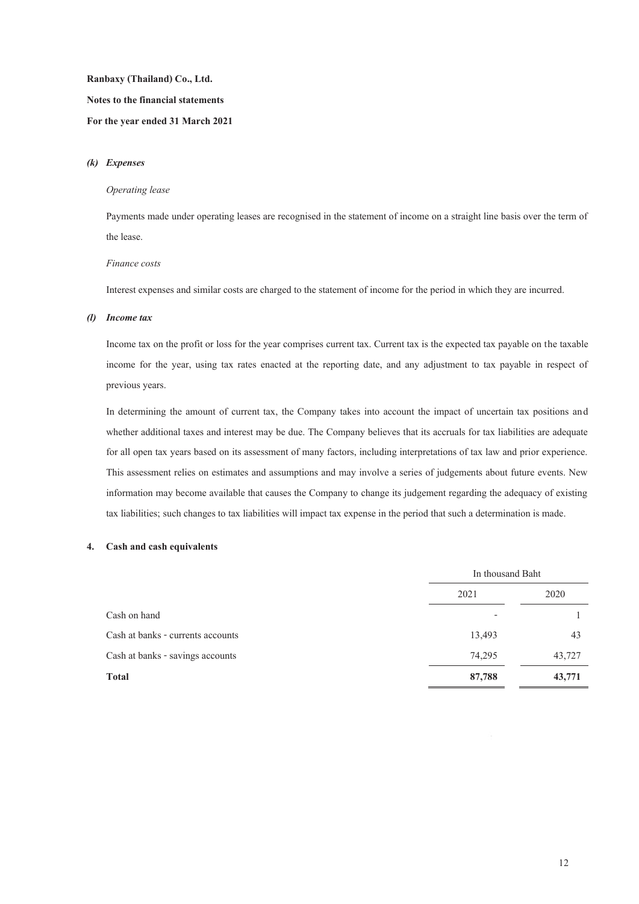# **Ranbaxy (Thailand) Co., Ltd. Notes to the financial statements**

## **For the year ended 31 March 2021**

#### *(k) Expenses*

#### *Operating lease*

Payments made under operating leases are recognised in the statement of income on a straight line basis over the term of the lease.

#### *Finance costs*

Interest expenses and similar costs are charged to the statement of income for the period in which they are incurred.

#### *(l) Income tax*

Income tax on the profit or loss for the year comprises current tax. Current tax is the expected tax payable on the taxable income for the year, using tax rates enacted at the reporting date, and any adjustment to tax payable in respect of previous years.

In determining the amount of current tax, the Company takes into account the impact of uncertain tax positions and whether additional taxes and interest may be due. The Company believes that its accruals for tax liabilities are adequate for all open tax years based on its assessment of many factors, including interpretations of tax law and prior experience. This assessment relies on estimates and assumptions and may involve a series of judgements about future events. New information may become available that causes the Company to change its judgement regarding the adequacy of existing tax liabilities; such changes to tax liabilities will impact tax expense in the period that such a determination is made.

## **4. Cash and cash equivalents**

|                                   | In thousand Baht |        |
|-----------------------------------|------------------|--------|
|                                   | 2021             | 2020   |
| Cash on hand                      |                  |        |
| Cash at banks - currents accounts | 13,493           | 43     |
| Cash at banks - savings accounts  | 74,295           | 43,727 |
| <b>Total</b>                      | 87,788           | 43,771 |
|                                   |                  |        |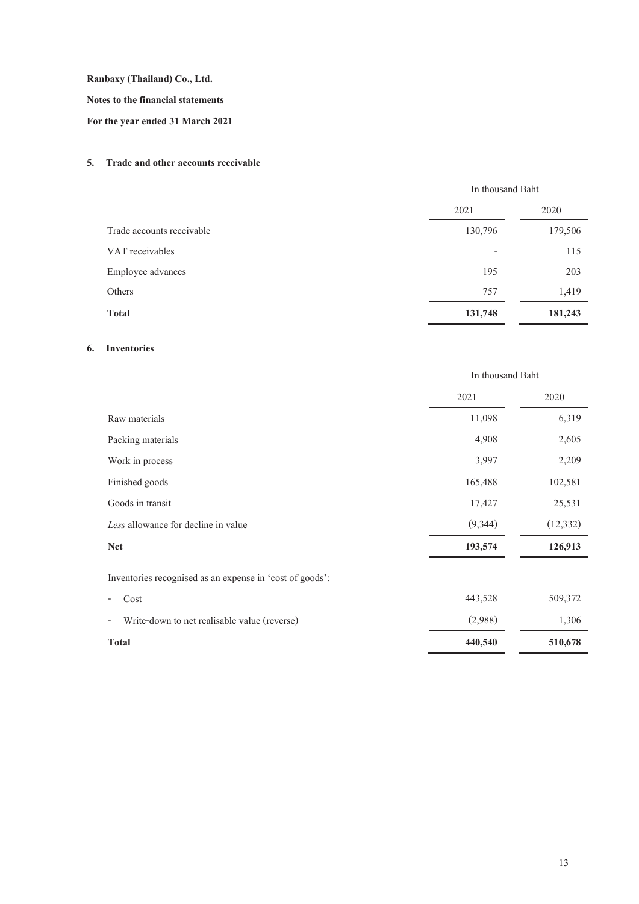**Notes to the financial statements** 

**For the year ended 31 March 2021** 

## **5. Trade and other accounts receivable**

|                           | In thousand Baht |         |
|---------------------------|------------------|---------|
|                           | 2021             | 2020    |
| Trade accounts receivable | 130,796          | 179,506 |
| VAT receivables           | $\overline{a}$   | 115     |
| Employee advances         | 195              | 203     |
| Others                    | 757              | 1,419   |
| <b>Total</b>              | 131,748          | 181,243 |

# **6. Inventories**

|                                                          | In thousand Baht |           |
|----------------------------------------------------------|------------------|-----------|
|                                                          | 2021             | 2020      |
| Raw materials                                            | 11,098           | 6,319     |
| Packing materials                                        | 4,908            | 2,605     |
| Work in process                                          | 3,997            | 2,209     |
| Finished goods                                           | 165,488          | 102,581   |
| Goods in transit                                         | 17,427           | 25,531    |
| Less allowance for decline in value                      | (9,344)          | (12, 332) |
| <b>Net</b>                                               | 193,574          | 126,913   |
| Inventories recognised as an expense in 'cost of goods': |                  |           |
| Cost                                                     | 443,528          | 509,372   |
| Write-down to net realisable value (reverse)             | (2,988)          | 1,306     |
| <b>Total</b>                                             | 440,540          | 510,678   |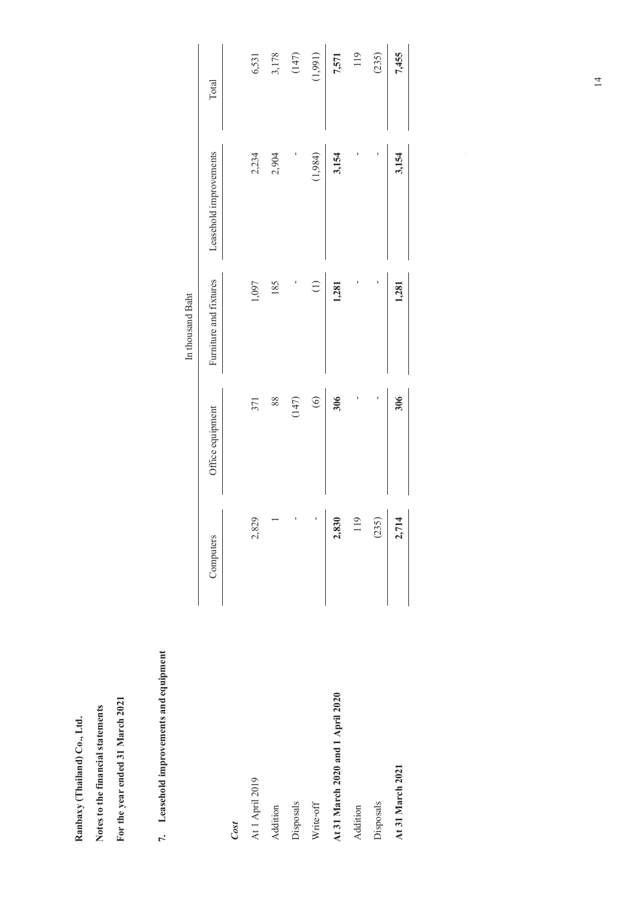Ranbaxy (Thailand) Co., Ltd. **Ranbaxy (Thailand) Co., Ltd.** 

Notes to the financial statements **Notes to the financial statements** 

For the year ended 31 March 2021 **For the year ended 31 March 2021** 

# 7. Leasehold improvements and equipment **7. Leasehold improvements andequipment**

|                                   |                        |                  | In thousand Baht       |                        |         |
|-----------------------------------|------------------------|------------------|------------------------|------------------------|---------|
|                                   | Computers              | Office equipment | Furniture and fixtures | Leasehold improvements | Total   |
| Cost                              |                        |                  |                        |                        |         |
| At 1 April 2019                   | 2,829                  | 371              | 1,097                  | 2,234                  | 6,531   |
| Addition                          |                        | 88               | 185                    | 2,904                  | 3,178   |
| Disposals                         |                        | (147)            |                        |                        | (147)   |
| Write-off                         | ı                      | $\odot$          | $\bigoplus$            | (1,984)                | (1,991) |
| At 31 March 2020 and 1 April 2020 | 2,830                  | 306              | 1,281                  | 3,154                  | 7,571   |
| Addition                          | O                      |                  |                        |                        | 119     |
| Disposals                         | (235)                  | ı                | ı                      | ı                      | (235)   |
| At 31 March 2021                  | $\overline{4}$<br>2,71 | 306              | 1,281                  | 3,154                  | 7,455   |
|                                   |                        |                  |                        |                        |         |

14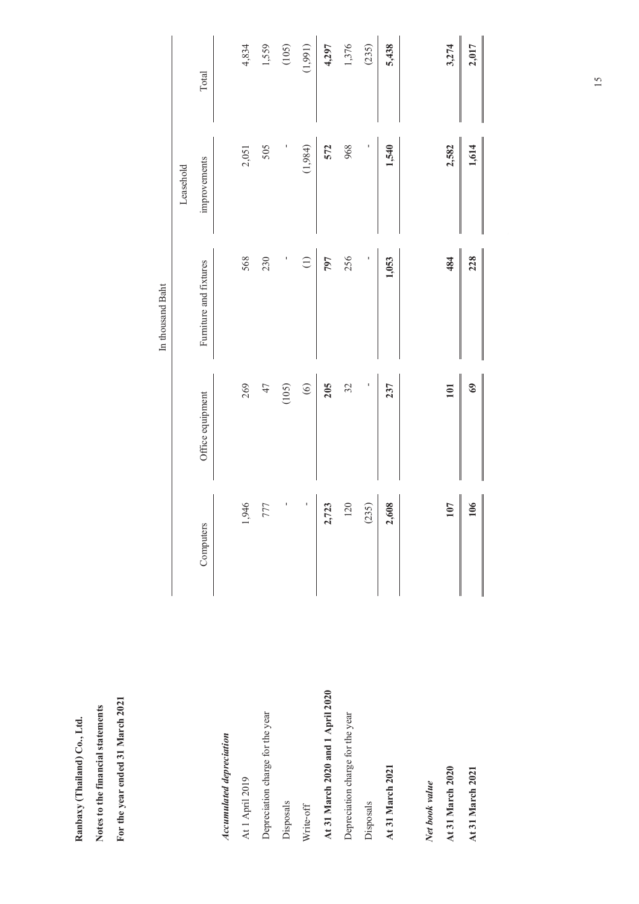|                                   |                 |                  | In thousand Baht       |              |         |
|-----------------------------------|-----------------|------------------|------------------------|--------------|---------|
|                                   |                 |                  |                        | Leasehold    |         |
|                                   | Computers       | Office equipment | Furniture and fixtures | improvements | Total   |
| Accumulated depreciation          |                 |                  |                        |              |         |
| At 1 April 2019                   | 1,946           | 269              | 568                    | 2,051        | 4,834   |
| Depreciation charge for the year  | 777             | 47               | 230                    | 505          | 1,559   |
| Disposals                         | ı               | (105)            | I                      |              | (105)   |
| Write-off                         | ı               | $\circledcirc$   | $\ominus$              | (1,984)      | (1,991) |
| At 31 March 2020 and 1 April 2020 | 2,723           | 205              | 797                    | 572          | 4,297   |
| Depreciation charge for the year  | <b>120</b>      | 32               | 256                    | 968          | 1,376   |
| Disposals                         | (235)           | I                | ı                      | $\mathbf{I}$ | (235)   |
| At 31 March 2021                  | 2,608           | 237              | 1,053                  | 1,540        | 5,438   |
| Net book value                    |                 |                  |                        |              |         |
| At 31 March 2020                  | <b>107</b>      | 101              | 484                    | 2,582        | 3,274   |
| At 31 March 2021                  | $\frac{106}{2}$ | 69               | 228<br>║               | 1,614        | 2,017   |
|                                   |                 |                  |                        |              |         |

Ranbaxy (Thailand) Co., Ltd. **Ranbaxy (Thailand) Co., Ltd.** 

Notes to the financial statements **Notes to the financial statements** 

**For the year ended 31 March 2021** 

For the year ended 31 March 2021

15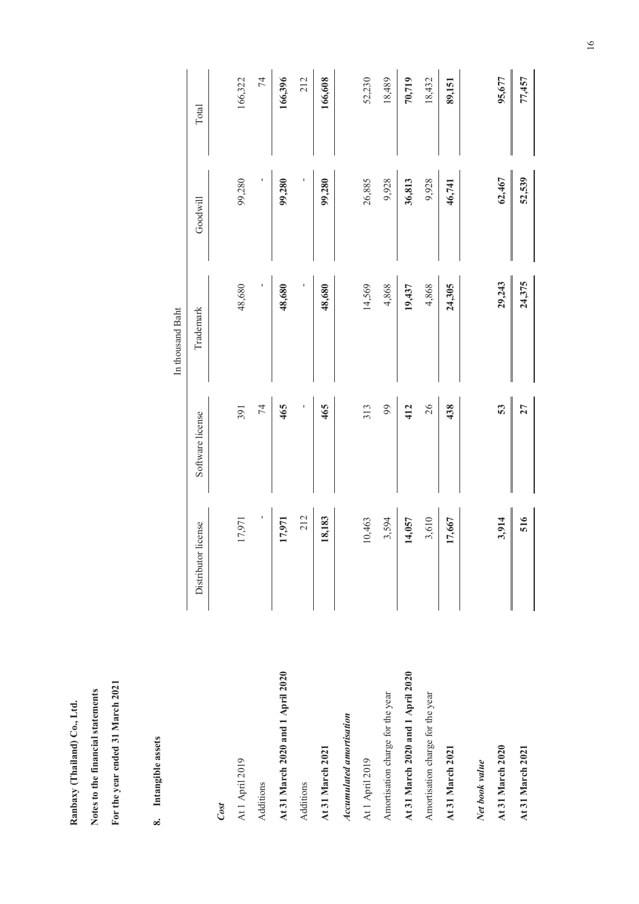Ranbaxy (Thailand) Co., Ltd. **Ranbaxy (Thailand) Co., Ltd.** 

For the year ended 31 March 2021 **For the year ended 31 March 2021** Notes to the financial statements **Notes to the financial statements** 

8. Intangible assets **8. Intangible assets**

|                                   |                     |                  | In thousand Baht |          |         |
|-----------------------------------|---------------------|------------------|------------------|----------|---------|
|                                   | Distributor license | Software license | Trademark        | Goodwill | Total   |
| Cost                              |                     |                  |                  |          |         |
| At 1 April 2019                   | 17,971              | 391              | 48,680           | 99,280   | 166,322 |
| Additions                         | I                   | 74               | I                | I        | 74      |
| At 31 March 2020 and 1 April 2020 | 17,971              | 465              | 48,680           | 99,280   | 166,396 |
| Additions                         | 212                 |                  |                  |          | 212     |
| At 31 March 2021                  | 18,183              | 465              | 48,680           | 99,280   | 166,608 |
| Accumulated amortisation          |                     |                  |                  |          |         |
| At 1 April 2019                   | 10,463              | 313              | 14,569           | 26,885   | 52,230  |
| Amortisation charge for the year  | 3,594               | 99               | 4,868            | 9,928    | 18,489  |
| At 31 March 2020 and 1 April 2020 | 14,057              | 412              | 19,437           | 36,813   | 70,719  |
| Amortisation charge for the year  | 3,610               | 26               | 4,868            | 9,928    | 18,432  |
| At 31 March 2021                  | 17,667              | 438              | 24,305           | 46,741   | 89,151  |
| Net book value                    |                     |                  |                  |          |         |
| At 31 March 2020                  | 3,914               | 53               | 29,243           | 62,467   | 95,677  |
| At 31 March 2021                  | 516                 | 27               | 24,375           | 52,539   | 77,457  |
|                                   |                     |                  |                  |          |         |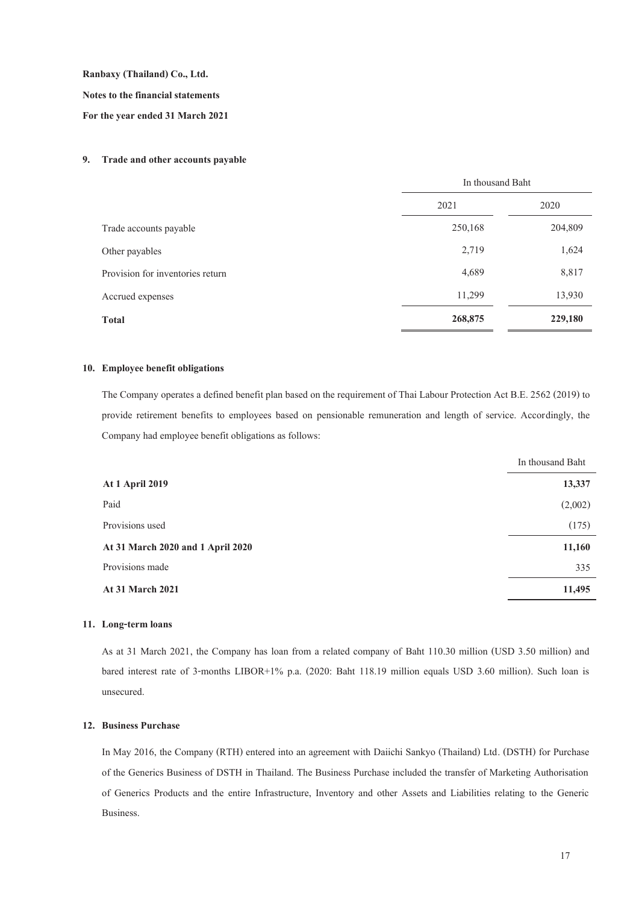**Notes to the financial statements** 

**For the year ended 31 March 2021**

#### **9. Trade and other accounts payable**

|                                  | In thousand Baht |         |
|----------------------------------|------------------|---------|
|                                  | 2021             | 2020    |
| Trade accounts payable           | 250,168          | 204,809 |
| Other payables                   | 2,719            | 1,624   |
| Provision for inventories return | 4,689            | 8,817   |
| Accrued expenses                 | 11,299           | 13,930  |
| <b>Total</b>                     | 268,875          | 229,180 |

#### **10. Employee benefit obligations**

The Company operates a defined benefit plan based on the requirement of Thai Labour Protection Act B.E. 2562 (2019) to provide retirement benefits to employees based on pensionable remuneration and length of service. Accordingly, the Company had employee benefit obligations as follows:

|                                   | In thousand Baht |
|-----------------------------------|------------------|
| <b>At 1 April 2019</b>            | 13,337           |
| Paid                              | (2,002)          |
| Provisions used                   | (175)            |
| At 31 March 2020 and 1 April 2020 | 11,160           |
| Provisions made                   | 335              |
| <b>At 31 March 2021</b>           | 11,495           |
|                                   |                  |

#### **11. Long-term loans**

As at 31 March 2021, the Company has loan from a related company of Baht 110.30 million (USD 3.50 million) and bared interest rate of 3-months LIBOR+1% p.a. (2020: Baht 118.19 million equals USD 3.60 million). Such loan is unsecured.

# **12. Business Purchase**

In May 2016, the Company (RTH) entered into an agreement with Daiichi Sankyo (Thailand) Ltd. (DSTH) for Purchase of the Generics Business of DSTH in Thailand. The Business Purchase included the transfer of Marketing Authorisation of Generics Products and the entire Infrastructure, Inventory and other Assets and Liabilities relating to the Generic Business.